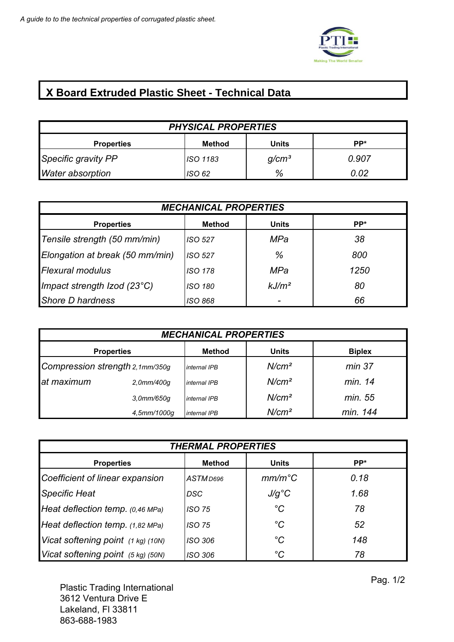

## **X Board Extruded Plastic Sheet - Technical Data**

| <b>PHYSICAL PROPERTIES</b> |          |                   |       |
|----------------------------|----------|-------------------|-------|
| <b>Properties</b>          | Method   | Units             | PP*   |
| Specific gravity PP        | ISO 1183 | q/cm <sup>3</sup> | 0.907 |
| <b>Water absorption</b>    | ISO 62   | %                 | 0 02  |

| <b>MECHANICAL PROPERTIES</b>    |         |                   |      |
|---------------------------------|---------|-------------------|------|
| <b>Properties</b>               | Method  | <b>Units</b>      | PP*  |
| Tensile strength (50 mm/min)    | ISO 527 | MPa               | 38   |
| Elongation at break (50 mm/min) | ISO 527 | %                 | 800  |
| <b>Flexural modulus</b>         | ISO 178 | MPa               | 1250 |
| Impact strength Izod (23°C)     | ISO 180 | kJ/m <sup>2</sup> | 80   |
| Shore D hardness                | ISO 868 |                   | 66   |

| <b>MECHANICAL PROPERTIES</b>    |                  |               |                   |               |
|---------------------------------|------------------|---------------|-------------------|---------------|
| <b>Properties</b>               |                  | <b>Method</b> | <b>Units</b>      | <b>Biplex</b> |
| Compression strength 2,1mm/350g |                  | internal IPB  | N/cm <sup>2</sup> | min 37        |
| at maximum                      | 2.0mm/400q       | internal IPB  | N/cm <sup>2</sup> | min. 14       |
|                                 | $3.0$ mm/650 $q$ | internal IPB  | N/cm <sup>2</sup> | min. 55       |
|                                 | 4.5mm/1000q      | internal IPB  | N/cm <sup>2</sup> | min. 144      |

| <b>THERMAL PROPERTIES</b>          |               |                 |      |
|------------------------------------|---------------|-----------------|------|
| <b>Properties</b>                  | <b>Method</b> | <b>Units</b>    | PP*  |
| Coefficient of linear expansion    | ASTM D696     | $mm/m^{\circ}C$ | 0.18 |
| <b>Specific Heat</b>               | <b>DSC</b>    | $J/g^{\circ}C$  | 1.68 |
| Heat deflection temp. (0,46 MPa)   | <b>ISO 75</b> | $^{\circ}C$     | 78   |
| Heat deflection temp. (1,82 MPa)   | <b>ISO 75</b> | $^{\circ}C$     | 52   |
| Vicat softening point (1 kg) (10N) | ISO 306       | $^{\circ}C$     | 148  |
| Vicat softening point (5 kg) (50N) | ISO 306       | °C              | 78   |

Plastic Trading International 3612 Ventura Drive E Lakeland, Fl 33811 863-688-1983

Pag. 1/2